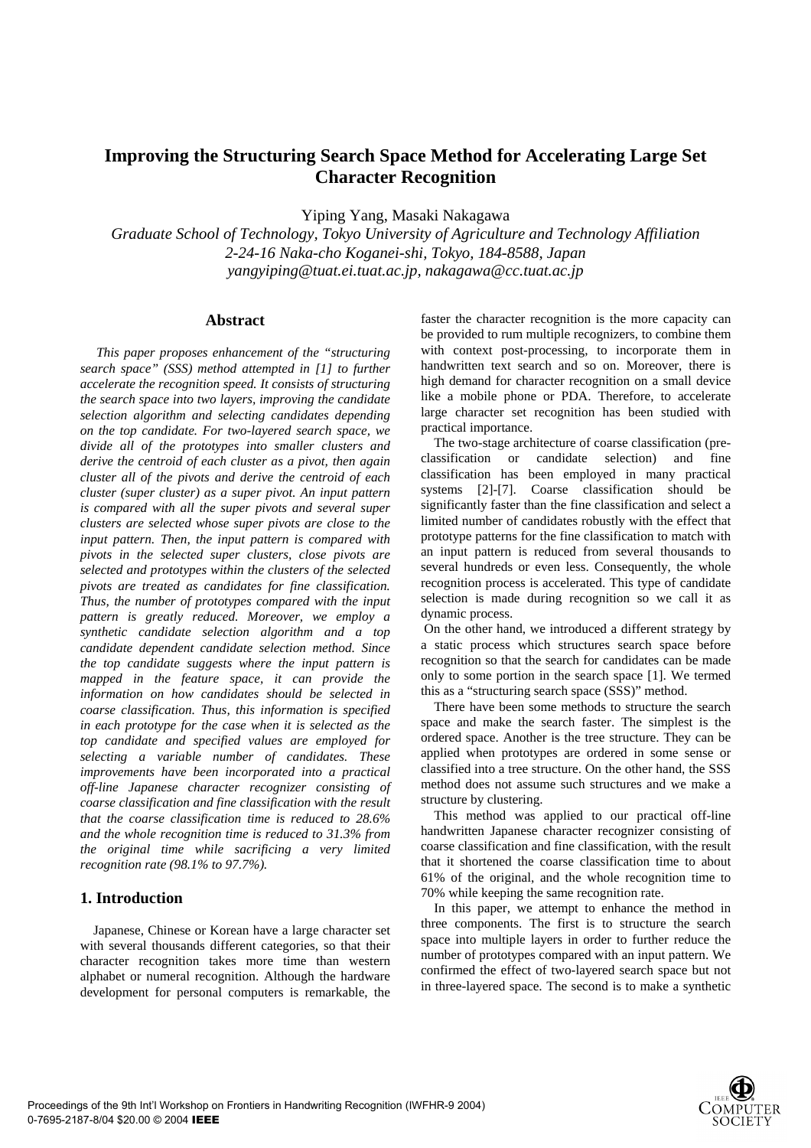# **Improving the Structuring Search Space Method for Accelerating Large Set Character Recognition**

Yiping Yang, Masaki Nakagawa

*Graduate School of Technology, Tokyo University of Agriculture and Technology Affiliation 2-24-16 Naka-cho Koganei-shi, Tokyo, 184-8588, Japan yangyiping@tuat.ei.tuat.ac.jp, nakagawa@cc.tuat.ac.jp* 

#### **Abstract**

*This paper proposes enhancement of the "structuring search space" (SSS) method attempted in [1] to further accelerate the recognition speed. It consists of structuring the search space into two layers, improving the candidate selection algorithm and selecting candidates depending on the top candidate. For two-layered search space, we divide all of the prototypes into smaller clusters and derive the centroid of each cluster as a pivot, then again cluster all of the pivots and derive the centroid of each cluster (super cluster) as a super pivot. An input pattern is compared with all the super pivots and several super clusters are selected whose super pivots are close to the input pattern. Then, the input pattern is compared with pivots in the selected super clusters, close pivots are selected and prototypes within the clusters of the selected pivots are treated as candidates for fine classification. Thus, the number of prototypes compared with the input pattern is greatly reduced. Moreover, we employ a synthetic candidate selection algorithm and a top candidate dependent candidate selection method. Since the top candidate suggests where the input pattern is mapped in the feature space, it can provide the information on how candidates should be selected in coarse classification. Thus, this information is specified in each prototype for the case when it is selected as the top candidate and specified values are employed for selecting a variable number of candidates. These improvements have been incorporated into a practical off-line Japanese character recognizer consisting of coarse classification and fine classification with the result that the coarse classification time is reduced to 28.6% and the whole recognition time is reduced to 31.3% from the original time while sacrificing a very limited recognition rate (98.1% to 97.7%).* 

# **1. Introduction**

Japanese, Chinese or Korean have a large character set with several thousands different categories, so that their character recognition takes more time than western alphabet or numeral recognition. Although the hardware development for personal computers is remarkable, the

faster the character recognition is the more capacity can be provided to rum multiple recognizers, to combine them with context post-processing, to incorporate them in handwritten text search and so on. Moreover, there is high demand for character recognition on a small device like a mobile phone or PDA. Therefore, to accelerate large character set recognition has been studied with practical importance.

The two-stage architecture of coarse classification (preclassification or candidate selection) and fine classification has been employed in many practical systems [2]-[7]. Coarse classification should be significantly faster than the fine classification and select a limited number of candidates robustly with the effect that prototype patterns for the fine classification to match with an input pattern is reduced from several thousands to several hundreds or even less. Consequently, the whole recognition process is accelerated. This type of candidate selection is made during recognition so we call it as dynamic process.

 On the other hand, we introduced a different strategy by a static process which structures search space before recognition so that the search for candidates can be made only to some portion in the search space [1]. We termed this as a "structuring search space (SSS)" method.

There have been some methods to structure the search space and make the search faster. The simplest is the ordered space. Another is the tree structure. They can be applied when prototypes are ordered in some sense or classified into a tree structure. On the other hand, the SSS method does not assume such structures and we make a structure by clustering.

This method was applied to our practical off-line handwritten Japanese character recognizer consisting of coarse classification and fine classification, with the result that it shortened the coarse classification time to about 61% of the original, and the whole recognition time to 70% while keeping the same recognition rate.

In this paper, we attempt to enhance the method in three components. The first is to structure the search space into multiple layers in order to further reduce the number of prototypes compared with an input pattern. We confirmed the effect of two-layered search space but not in three-layered space. The second is to make a synthetic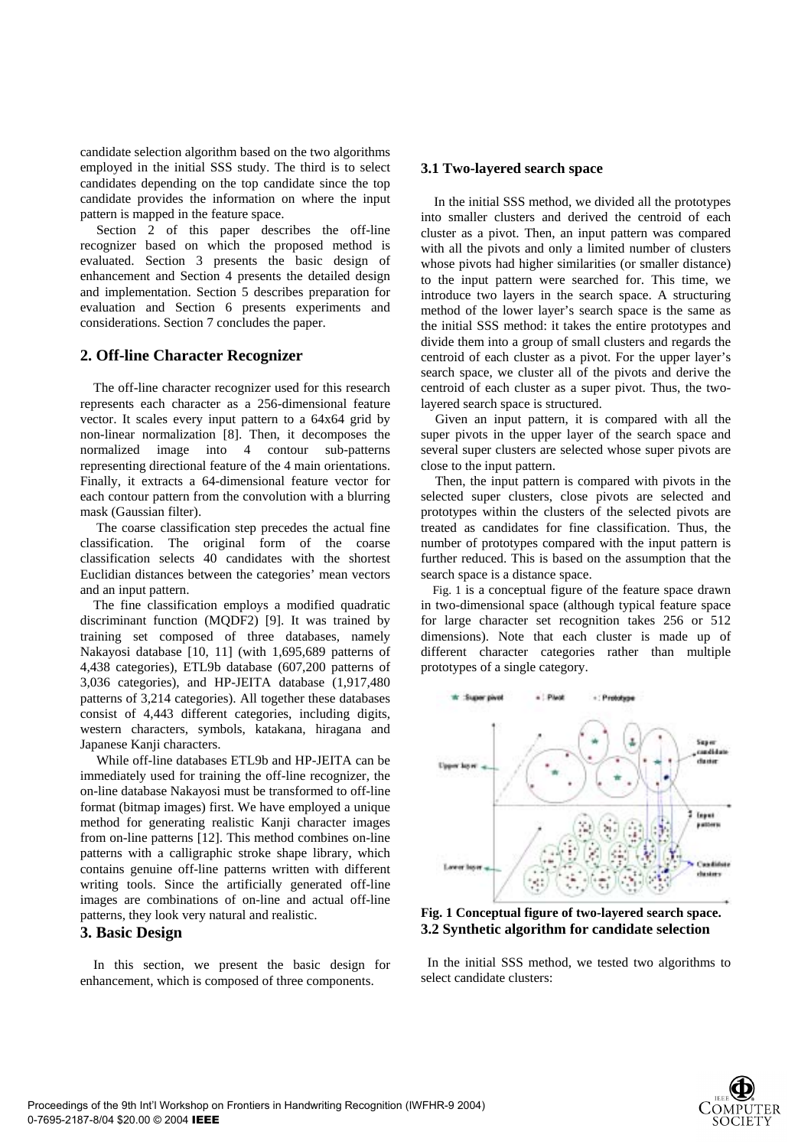candidate selection algorithm based on the two algorithms employed in the initial SSS study. The third is to select candidates depending on the top candidate since the top candidate provides the information on where the input pattern is mapped in the feature space.

Section 2 of this paper describes the off-line recognizer based on which the proposed method is evaluated. Section 3 presents the basic design of enhancement and Section 4 presents the detailed design and implementation. Section 5 describes preparation for evaluation and Section 6 presents experiments and considerations. Section 7 concludes the paper.

## **2. Off-line Character Recognizer**

The off-line character recognizer used for this research represents each character as a 256-dimensional feature vector. It scales every input pattern to a 64x64 grid by non-linear normalization [8]. Then, it decomposes the normalized image into 4 contour sub-patterns representing directional feature of the 4 main orientations. Finally, it extracts a 64-dimensional feature vector for each contour pattern from the convolution with a blurring mask (Gaussian filter).

The coarse classification step precedes the actual fine classification. The original form of the coarse classification selects 40 candidates with the shortest Euclidian distances between the categories' mean vectors and an input pattern.

The fine classification employs a modified quadratic discriminant function (MQDF2) [9]. It was trained by training set composed of three databases, namely Nakayosi database [10, 11] (with 1,695,689 patterns of 4,438 categories), ETL9b database (607,200 patterns of 3,036 categories), and HP-JEITA database (1,917,480 patterns of 3,214 categories). All together these databases consist of 4,443 different categories, including digits, western characters, symbols, katakana, hiragana and Japanese Kanji characters.

While off-line databases ETL9b and HP-JEITA can be immediately used for training the off-line recognizer, the on-line database Nakayosi must be transformed to off-line format (bitmap images) first. We have employed a unique method for generating realistic Kanji character images from on-line patterns [12]. This method combines on-line patterns with a calligraphic stroke shape library, which contains genuine off-line patterns written with different writing tools. Since the artificially generated off-line images are combinations of on-line and actual off-line patterns, they look very natural and realistic.

# **3. Basic Design**

In this section, we present the basic design for enhancement, which is composed of three components.

#### **3.1 Two-layered search space**

In the initial SSS method, we divided all the prototypes into smaller clusters and derived the centroid of each cluster as a pivot. Then, an input pattern was compared with all the pivots and only a limited number of clusters whose pivots had higher similarities (or smaller distance) to the input pattern were searched for. This time, we introduce two layers in the search space. A structuring method of the lower layer's search space is the same as the initial SSS method: it takes the entire prototypes and divide them into a group of small clusters and regards the centroid of each cluster as a pivot. For the upper layer's search space, we cluster all of the pivots and derive the centroid of each cluster as a super pivot. Thus, the twolayered search space is structured.

Given an input pattern, it is compared with all the super pivots in the upper layer of the search space and several super clusters are selected whose super pivots are close to the input pattern.

Then, the input pattern is compared with pivots in the selected super clusters, close pivots are selected and prototypes within the clusters of the selected pivots are treated as candidates for fine classification. Thus, the number of prototypes compared with the input pattern is further reduced. This is based on the assumption that the search space is a distance space.

Fig. 1 is a conceptual figure of the feature space drawn in two-dimensional space (although typical feature space for large character set recognition takes 256 or 512 dimensions). Note that each cluster is made up of different character categories rather than multiple prototypes of a single category.



**Fig. 1 Conceptual figure of two-layered search space. 3.2 Synthetic algorithm for candidate selection** 

 In the initial SSS method, we tested two algorithms to select candidate clusters:

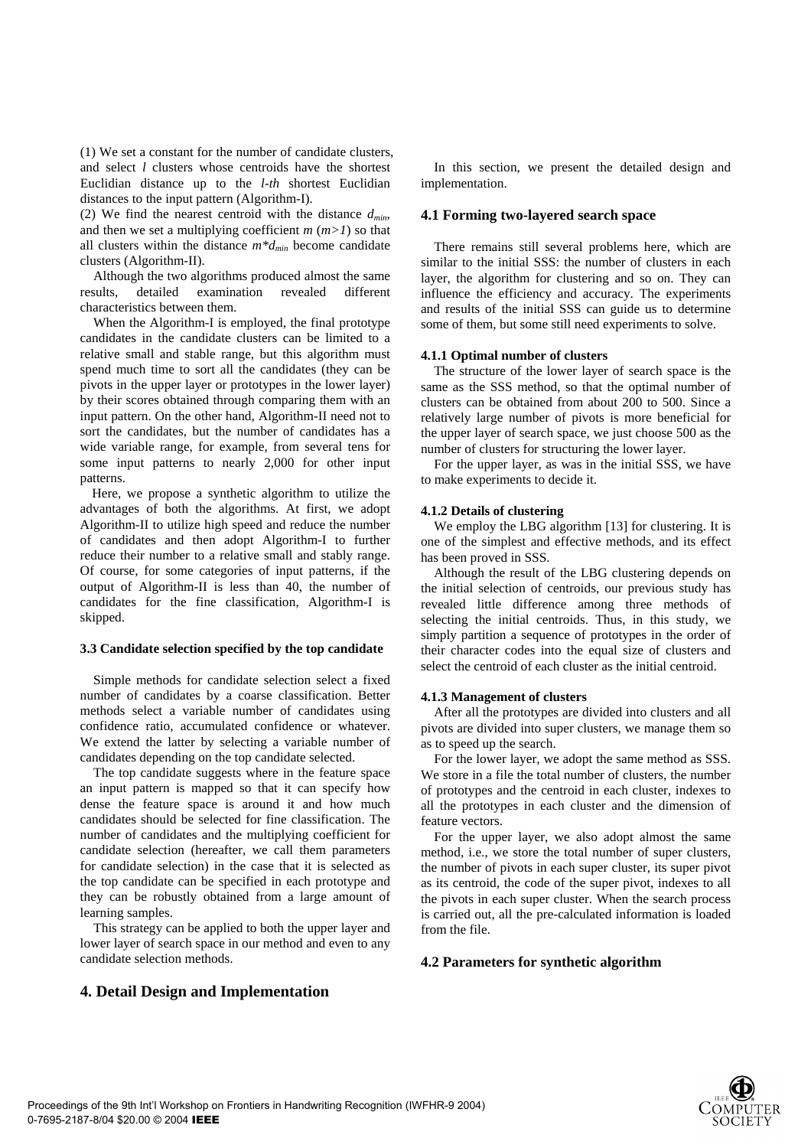(1) We set a constant for the number of candidate clusters, and select *l* clusters whose centroids have the shortest Euclidian distance up to the *l-th* shortest Euclidian distances to the input pattern (Algorithm-I).

(2) We find the nearest centroid with the distance *dmin*, and then we set a multiplying coefficient  $m (m>1)$  so that all clusters within the distance  $m^*d_{min}$  become candidate clusters (Algorithm-II).

Although the two algorithms produced almost the same results, detailed examination revealed different characteristics between them.

When the Algorithm-I is employed, the final prototype candidates in the candidate clusters can be limited to a relative small and stable range, but this algorithm must spend much time to sort all the candidates (they can be pivots in the upper layer or prototypes in the lower layer) by their scores obtained through comparing them with an input pattern. On the other hand, Algorithm-II need not to sort the candidates, but the number of candidates has a wide variable range, for example, from several tens for some input patterns to nearly 2,000 for other input patterns.

Here, we propose a synthetic algorithm to utilize the advantages of both the algorithms. At first, we adopt Algorithm-II to utilize high speed and reduce the number of candidates and then adopt Algorithm-I to further reduce their number to a relative small and stably range. Of course, for some categories of input patterns, if the output of Algorithm-II is less than 40, the number of candidates for the fine classification, Algorithm-I is skipped.

#### **3.3 Candidate selection specified by the top candidate**

Simple methods for candidate selection select a fixed number of candidates by a coarse classification. Better methods select a variable number of candidates using confidence ratio, accumulated confidence or whatever. We extend the latter by selecting a variable number of candidates depending on the top candidate selected.

The top candidate suggests where in the feature space an input pattern is mapped so that it can specify how dense the feature space is around it and how much candidates should be selected for fine classification. The number of candidates and the multiplying coefficient for candidate selection (hereafter, we call them parameters for candidate selection) in the case that it is selected as the top candidate can be specified in each prototype and they can be robustly obtained from a large amount of learning samples.

This strategy can be applied to both the upper layer and lower layer of search space in our method and even to any candidate selection methods.

**4. Detail Design and Implementation** 

In this section, we present the detailed design and implementation.

#### **4.1 Forming two-layered search space**

There remains still several problems here, which are similar to the initial SSS: the number of clusters in each layer, the algorithm for clustering and so on. They can influence the efficiency and accuracy. The experiments and results of the initial SSS can guide us to determine some of them, but some still need experiments to solve.

#### **4.1.1 Optimal number of clusters**

The structure of the lower layer of search space is the same as the SSS method, so that the optimal number of clusters can be obtained from about 200 to 500. Since a relatively large number of pivots is more beneficial for the upper layer of search space, we just choose 500 as the number of clusters for structuring the lower layer.

For the upper layer, as was in the initial SSS, we have to make experiments to decide it.

#### **4.1.2 Details of clustering**

We employ the LBG algorithm [13] for clustering. It is one of the simplest and effective methods, and its effect has been proved in SSS.

Although the result of the LBG clustering depends on the initial selection of centroids, our previous study has revealed little difference among three methods of selecting the initial centroids. Thus, in this study, we simply partition a sequence of prototypes in the order of their character codes into the equal size of clusters and select the centroid of each cluster as the initial centroid.

#### **4.1.3 Management of clusters**

After all the prototypes are divided into clusters and all pivots are divided into super clusters, we manage them so as to speed up the search.

For the lower layer, we adopt the same method as SSS. We store in a file the total number of clusters, the number of prototypes and the centroid in each cluster, indexes to all the prototypes in each cluster and the dimension of feature vectors.

For the upper layer, we also adopt almost the same method, i.e., we store the total number of super clusters, the number of pivots in each super cluster, its super pivot as its centroid, the code of the super pivot, indexes to all the pivots in each super cluster. When the search process is carried out, all the pre-calculated information is loaded from the file.

### **4.2 Parameters for synthetic algorithm**

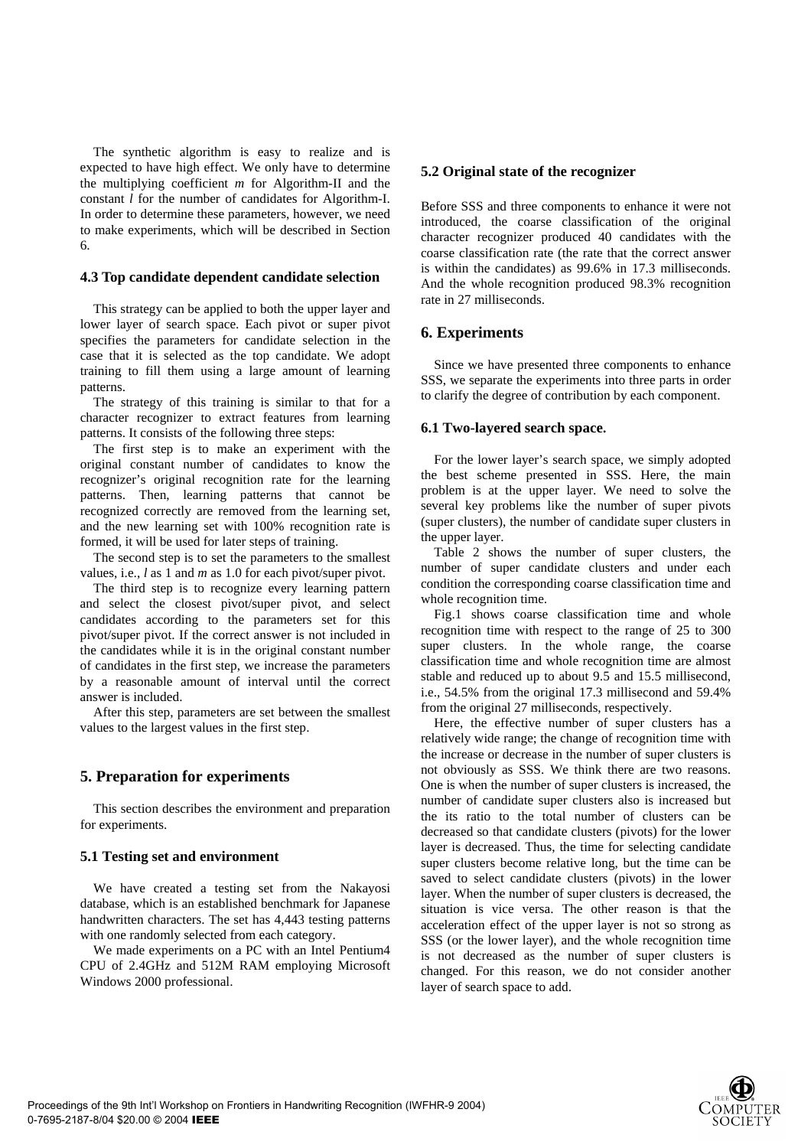The synthetic algorithm is easy to realize and is expected to have high effect. We only have to determine the multiplying coefficient *m* for Algorithm-II and the constant *l* for the number of candidates for Algorithm-I. In order to determine these parameters, however, we need to make experiments, which will be described in Section 6.

#### **4.3 Top candidate dependent candidate selection**

This strategy can be applied to both the upper layer and lower layer of search space. Each pivot or super pivot specifies the parameters for candidate selection in the case that it is selected as the top candidate. We adopt training to fill them using a large amount of learning patterns.

The strategy of this training is similar to that for a character recognizer to extract features from learning patterns. It consists of the following three steps:

The first step is to make an experiment with the original constant number of candidates to know the recognizer's original recognition rate for the learning patterns. Then, learning patterns that cannot be recognized correctly are removed from the learning set, and the new learning set with 100% recognition rate is formed, it will be used for later steps of training.

The second step is to set the parameters to the smallest values, i.e., *l* as 1 and *m* as 1.0 for each pivot/super pivot.

The third step is to recognize every learning pattern and select the closest pivot/super pivot, and select candidates according to the parameters set for this pivot/super pivot. If the correct answer is not included in the candidates while it is in the original constant number of candidates in the first step, we increase the parameters by a reasonable amount of interval until the correct answer is included.

After this step, parameters are set between the smallest values to the largest values in the first step.

#### **5. Preparation for experiments**

This section describes the environment and preparation for experiments.

### **5.1 Testing set and environment**

We have created a testing set from the Nakayosi database, which is an established benchmark for Japanese handwritten characters. The set has 4,443 testing patterns with one randomly selected from each category.

We made experiments on a PC with an Intel Pentium4 CPU of 2.4GHz and 512M RAM employing Microsoft Windows 2000 professional.

#### **5.2 Original state of the recognizer**

Before SSS and three components to enhance it were not introduced, the coarse classification of the original character recognizer produced 40 candidates with the coarse classification rate (the rate that the correct answer is within the candidates) as 99.6% in 17.3 milliseconds. And the whole recognition produced 98.3% recognition rate in 27 milliseconds.

## **6. Experiments**

Since we have presented three components to enhance SSS, we separate the experiments into three parts in order to clarify the degree of contribution by each component.

### **6.1 Two-layered search space.**

For the lower layer's search space, we simply adopted the best scheme presented in SSS. Here, the main problem is at the upper layer. We need to solve the several key problems like the number of super pivots (super clusters), the number of candidate super clusters in the upper layer.

Table 2 shows the number of super clusters, the number of super candidate clusters and under each condition the corresponding coarse classification time and whole recognition time.

Fig.1 shows coarse classification time and whole recognition time with respect to the range of 25 to 300 super clusters. In the whole range, the coarse classification time and whole recognition time are almost stable and reduced up to about 9.5 and 15.5 millisecond, i.e., 54.5% from the original 17.3 millisecond and 59.4% from the original 27 milliseconds, respectively.

Here, the effective number of super clusters has a relatively wide range; the change of recognition time with the increase or decrease in the number of super clusters is not obviously as SSS. We think there are two reasons. One is when the number of super clusters is increased, the number of candidate super clusters also is increased but the its ratio to the total number of clusters can be decreased so that candidate clusters (pivots) for the lower layer is decreased. Thus, the time for selecting candidate super clusters become relative long, but the time can be saved to select candidate clusters (pivots) in the lower layer. When the number of super clusters is decreased, the situation is vice versa. The other reason is that the acceleration effect of the upper layer is not so strong as SSS (or the lower layer), and the whole recognition time is not decreased as the number of super clusters is changed. For this reason, we do not consider another layer of search space to add.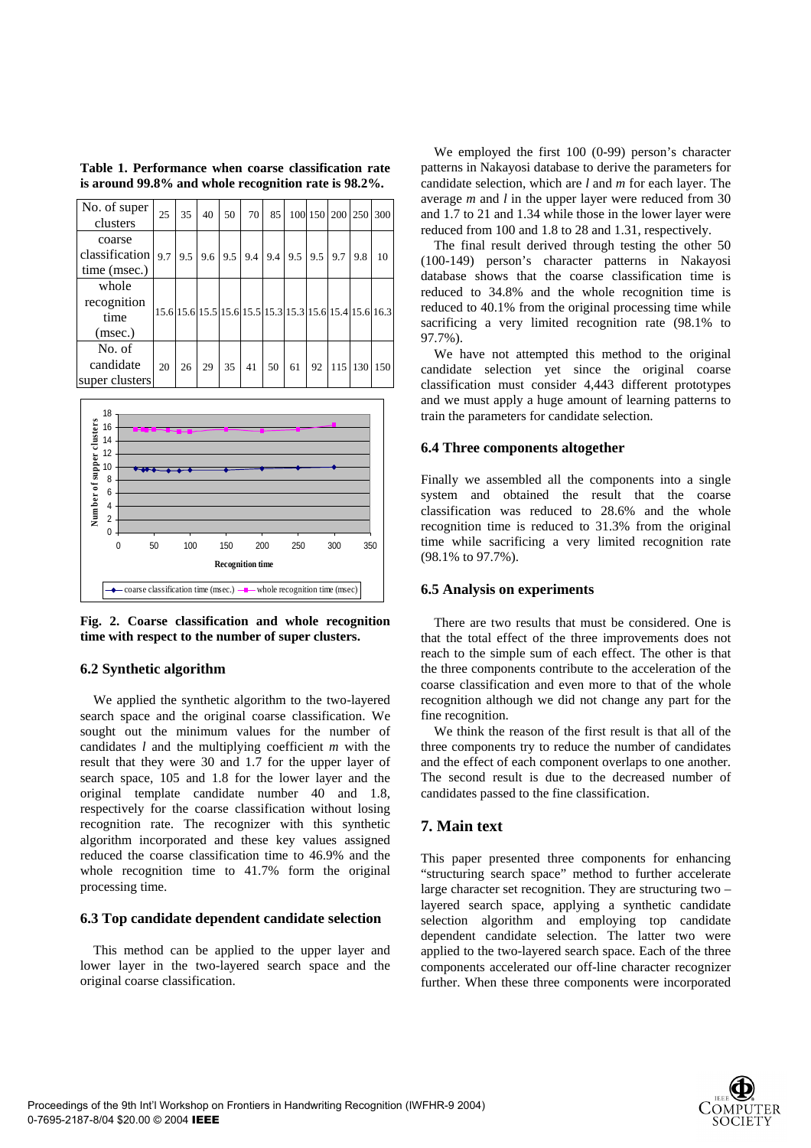| Table 1. Performance when coarse classification rate |  |
|------------------------------------------------------|--|
| is around 99.8% and whole recognition rate is 98.2%. |  |

| No. of super<br>clusters                                                                             | 25 | 35 | 40 | 50                                                     | 70 | 85 |    |    | 100 150 200 250 300 |         |     |
|------------------------------------------------------------------------------------------------------|----|----|----|--------------------------------------------------------|----|----|----|----|---------------------|---------|-----|
| coarse<br>classification   9.7   9.5   9.6   9.5   9.4   9.4   9.5   9.5   9.7   9.8<br>time (msec.) |    |    |    |                                                        |    |    |    |    |                     |         | 10  |
| whole<br>recognition<br>time<br>(msec.)                                                              |    |    |    | 15.6 15.6 15.5 15.6 15.5 15.3 15.3 15.6 15.4 15.6 16.3 |    |    |    |    |                     |         |     |
| No. of<br>candidate<br>super clusters                                                                | 20 | 26 | 29 | 35                                                     | 41 | 50 | 61 | 92 |                     | 115 130 | 150 |



**Fig. 2. Coarse classification and whole recognition time with respect to the number of super clusters.**

# **6.2 Synthetic algorithm**

We applied the synthetic algorithm to the two-layered search space and the original coarse classification. We sought out the minimum values for the number of candidates *l* and the multiplying coefficient *m* with the result that they were 30 and 1.7 for the upper layer of search space, 105 and 1.8 for the lower layer and the original template candidate number 40 and 1.8, respectively for the coarse classification without losing recognition rate. The recognizer with this synthetic algorithm incorporated and these key values assigned reduced the coarse classification time to 46.9% and the whole recognition time to 41.7% form the original processing time.

#### **6.3 Top candidate dependent candidate selection**

This method can be applied to the upper layer and lower layer in the two-layered search space and the original coarse classification.

We employed the first 100 (0-99) person's character patterns in Nakayosi database to derive the parameters for candidate selection, which are *l* and *m* for each layer. The average *m* and *l* in the upper layer were reduced from 30 and 1.7 to 21 and 1.34 while those in the lower layer were reduced from 100 and 1.8 to 28 and 1.31, respectively.

The final result derived through testing the other 50 (100-149) person's character patterns in Nakayosi database shows that the coarse classification time is reduced to 34.8% and the whole recognition time is reduced to 40.1% from the original processing time while sacrificing a very limited recognition rate (98.1% to 97.7%).

We have not attempted this method to the original candidate selection yet since the original coarse classification must consider 4,443 different prototypes and we must apply a huge amount of learning patterns to train the parameters for candidate selection.

### **6.4 Three components altogether**

Finally we assembled all the components into a single system and obtained the result that the coarse classification was reduced to 28.6% and the whole recognition time is reduced to 31.3% from the original time while sacrificing a very limited recognition rate (98.1% to 97.7%).

#### **6.5 Analysis on experiments**

There are two results that must be considered. One is that the total effect of the three improvements does not reach to the simple sum of each effect. The other is that the three components contribute to the acceleration of the coarse classification and even more to that of the whole recognition although we did not change any part for the fine recognition.

We think the reason of the first result is that all of the three components try to reduce the number of candidates and the effect of each component overlaps to one another. The second result is due to the decreased number of candidates passed to the fine classification.

#### **7. Main text**

This paper presented three components for enhancing "structuring search space" method to further accelerate large character set recognition. They are structuring two – layered search space, applying a synthetic candidate selection algorithm and employing top candidate dependent candidate selection. The latter two were applied to the two-layered search space. Each of the three components accelerated our off-line character recognizer further. When these three components were incorporated